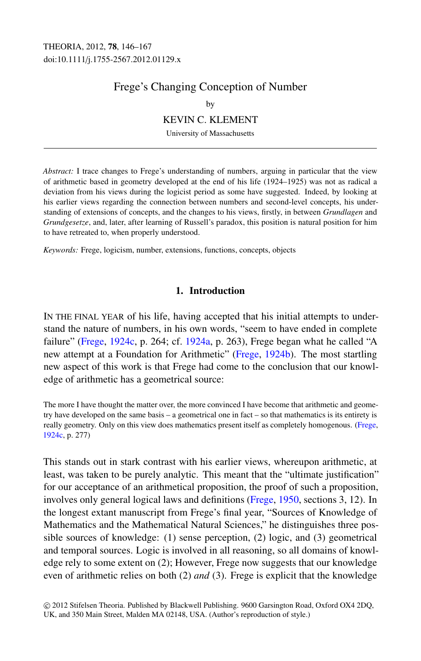# Frege's Changing Conception of Number

by

KEVIN C. KLEMENT

University of Massachusetts

*Abstract:* I trace changes to Frege's understanding of numbers, arguing in particular that the view of arithmetic based in geometry developed at the end of his life (1924–1925) was not as radical a deviation from his views during the logicist period as some have suggested. Indeed, by looking at his earlier views regarding the connection between numbers and second-level concepts, his understanding of extensions of concepts, and the changes to his views, firstly, in between *Grundlagen* and *Grundgesetze*, and, later, after learning of Russell's paradox, this position is natural position for him to have retreated to, when properly understood.

*Keywords:* Frege, logicism, number, extensions, functions, concepts, objects

## 1. Introduction

IN THE FINAL YEAR of his life, having accepted that his initial attempts to understand the nature of numbers, in his own words, "seem to have ended in complete failure" [\(Frege,](#page-20-0) [1924c,](#page-20-0) p. 264; cf. [1924a,](#page-20-1) p. 263), Frege began what he called "A new attempt at a Foundation for Arithmetic" [\(Frege,](#page-20-2) [1924b\)](#page-20-2). The most startling new aspect of this work is that Frege had come to the conclusion that our knowledge of arithmetic has a geometrical source:

The more I have thought the matter over, the more convinced I have become that arithmetic and geometry have developed on the same basis – a geometrical one in fact – so that mathematics is its entirety is really geometry. Only on this view does mathematics present itself as completely homogenous. [\(Frege,](#page-20-0) [1924c,](#page-20-0) p. 277)

This stands out in stark contrast with his earlier views, whereupon arithmetic, at least, was taken to be purely analytic. This meant that the "ultimate justification" for our acceptance of an arithmetical proposition, the proof of such a proposition, involves only general logical laws and definitions [\(Frege,](#page-20-3) [1950,](#page-20-3) sections 3, 12). In the longest extant manuscript from Frege's final year, "Sources of Knowledge of Mathematics and the Mathematical Natural Sciences," he distinguishes three possible sources of knowledge: (1) sense perception, (2) logic, and (3) geometrical and temporal sources. Logic is involved in all reasoning, so all domains of knowledge rely to some extent on (2); However, Frege now suggests that our knowledge even of arithmetic relies on both (2) *and* (3). Frege is explicit that the knowledge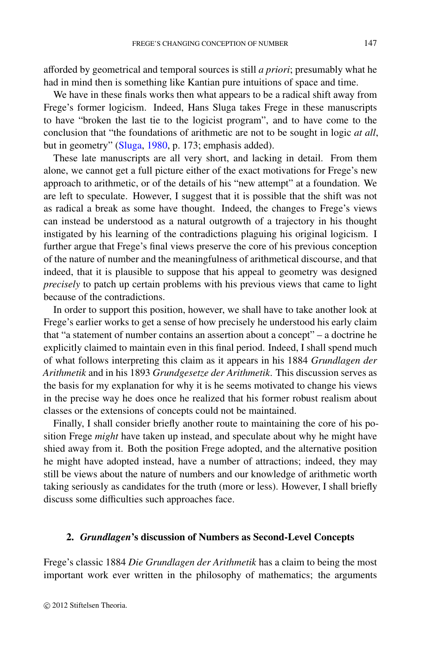afforded by geometrical and temporal sources is still *a priori*; presumably what he had in mind then is something like Kantian pure intuitions of space and time.

We have in these finals works then what appears to be a radical shift away from Frege's former logicism. Indeed, Hans Sluga takes Frege in these manuscripts to have "broken the last tie to the logicist program", and to have come to the conclusion that "the foundations of arithmetic are not to be sought in logic *at all*, but in geometry" [\(Sluga,](#page-21-0) [1980,](#page-21-0) p. 173; emphasis added).

These late manuscripts are all very short, and lacking in detail. From them alone, we cannot get a full picture either of the exact motivations for Frege's new approach to arithmetic, or of the details of his "new attempt" at a foundation. We are left to speculate. However, I suggest that it is possible that the shift was not as radical a break as some have thought. Indeed, the changes to Frege's views can instead be understood as a natural outgrowth of a trajectory in his thought instigated by his learning of the contradictions plaguing his original logicism. I further argue that Frege's final views preserve the core of his previous conception of the nature of number and the meaningfulness of arithmetical discourse, and that indeed, that it is plausible to suppose that his appeal to geometry was designed *precisely* to patch up certain problems with his previous views that came to light because of the contradictions.

In order to support this position, however, we shall have to take another look at Frege's earlier works to get a sense of how precisely he understood his early claim that "a statement of number contains an assertion about a concept" – a doctrine he explicitly claimed to maintain even in this final period. Indeed, I shall spend much of what follows interpreting this claim as it appears in his 1884 *Grundlagen der Arithmetik* and in his 1893 *Grundgesetze der Arithmetik*. This discussion serves as the basis for my explanation for why it is he seems motivated to change his views in the precise way he does once he realized that his former robust realism about classes or the extensions of concepts could not be maintained.

Finally, I shall consider briefly another route to maintaining the core of his position Frege *might* have taken up instead, and speculate about why he might have shied away from it. Both the position Frege adopted, and the alternative position he might have adopted instead, have a number of attractions; indeed, they may still be views about the nature of numbers and our knowledge of arithmetic worth taking seriously as candidates for the truth (more or less). However, I shall briefly discuss some difficulties such approaches face.

## 2. *Grundlagen*'s discussion of Numbers as Second-Level Concepts

Frege's classic 1884 *Die Grundlagen der Arithmetik* has a claim to being the most important work ever written in the philosophy of mathematics; the arguments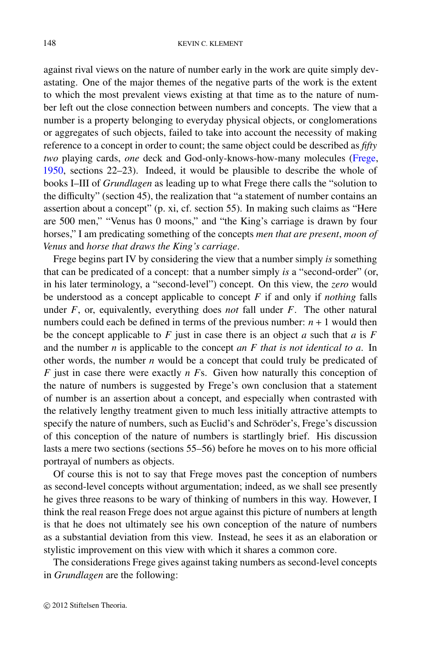against rival views on the nature of number early in the work are quite simply devastating. One of the major themes of the negative parts of the work is the extent to which the most prevalent views existing at that time as to the nature of number left out the close connection between numbers and concepts. The view that a number is a property belonging to everyday physical objects, or conglomerations or aggregates of such objects, failed to take into account the necessity of making reference to a concept in order to count; the same object could be described as *fifty two* playing cards, *one* deck and God-only-knows-how-many molecules [\(Frege,](#page-20-3) [1950,](#page-20-3) sections 22–23). Indeed, it would be plausible to describe the whole of books I–III of *Grundlagen* as leading up to what Frege there calls the "solution to the difficulty" (section 45), the realization that "a statement of number contains an assertion about a concept" (p. xi, cf. section 55). In making such claims as "Here are 500 men," "Venus has 0 moons," and "the King's carriage is drawn by four horses," I am predicating something of the concepts *men that are present*, *moon of Venus* and *horse that draws the King's carriage*.

Frege begins part IV by considering the view that a number simply *is* something that can be predicated of a concept: that a number simply *is* a "second-order" (or, in his later terminology, a "second-level") concept. On this view, the *zero* would be understood as a concept applicable to concept *F* if and only if *nothing* falls under  $F$ , or, equivalently, everything does *not* fall under  $F$ . The other natural numbers could each be defined in terms of the previous number:  $n + 1$  would then be the concept applicable to  $F$  just in case there is an object  $a$  such that  $a$  is  $F$ and the number *n* is applicable to the concept *an F that is not identical to a*. In other words, the number *n* would be a concept that could truly be predicated of *F* just in case there were exactly *n F*s. Given how naturally this conception of the nature of numbers is suggested by Frege's own conclusion that a statement of number is an assertion about a concept, and especially when contrasted with the relatively lengthy treatment given to much less initially attractive attempts to specify the nature of numbers, such as Euclid's and Schröder's, Frege's discussion of this conception of the nature of numbers is startlingly brief. His discussion lasts a mere two sections (sections 55–56) before he moves on to his more official portrayal of numbers as objects.

Of course this is not to say that Frege moves past the conception of numbers as second-level concepts without argumentation; indeed, as we shall see presently he gives three reasons to be wary of thinking of numbers in this way. However, I think the real reason Frege does not argue against this picture of numbers at length is that he does not ultimately see his own conception of the nature of numbers as a substantial deviation from this view. Instead, he sees it as an elaboration or stylistic improvement on this view with which it shares a common core.

The considerations Frege gives against taking numbers as second-level concepts in *Grundlagen* are the following:

c 2012 Stiftelsen Theoria.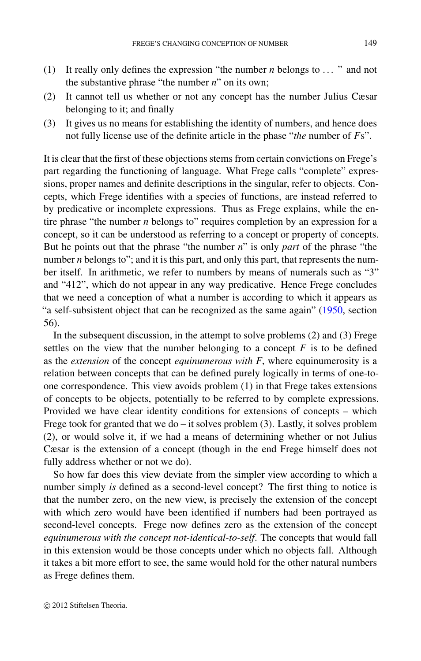- (1) It really only defines the expression "the number *n* belongs to . . . " and not the substantive phrase "the number *n*" on its own;
- (2) It cannot tell us whether or not any concept has the number Julius Cæsar belonging to it; and finally
- (3) It gives us no means for establishing the identity of numbers, and hence does not fully license use of the definite article in the phase "*the* number of *F*s".

It is clear that the first of these objections stems from certain convictions on Frege's part regarding the functioning of language. What Frege calls "complete" expressions, proper names and definite descriptions in the singular, refer to objects. Concepts, which Frege identifies with a species of functions, are instead referred to by predicative or incomplete expressions. Thus as Frege explains, while the entire phrase "the number *n* belongs to" requires completion by an expression for a concept, so it can be understood as referring to a concept or property of concepts. But he points out that the phrase "the number *n*" is only *part* of the phrase "the number *n* belongs to"; and it is this part, and only this part, that represents the number itself. In arithmetic, we refer to numbers by means of numerals such as "3" and "412", which do not appear in any way predicative. Hence Frege concludes that we need a conception of what a number is according to which it appears as "a self-subsistent object that can be recognized as the same again" [\(1950,](#page-20-3) section 56).

In the subsequent discussion, in the attempt to solve problems  $(2)$  and  $(3)$  Frege settles on the view that the number belonging to a concept  $F$  is to be defined as the *extension* of the concept *equinumerous with F*, where equinumerosity is a relation between concepts that can be defined purely logically in terms of one-toone correspondence. This view avoids problem (1) in that Frege takes extensions of concepts to be objects, potentially to be referred to by complete expressions. Provided we have clear identity conditions for extensions of concepts – which Frege took for granted that we do  $-$  it solves problem (3). Lastly, it solves problem (2), or would solve it, if we had a means of determining whether or not Julius Cæsar is the extension of a concept (though in the end Frege himself does not fully address whether or not we do).

So how far does this view deviate from the simpler view according to which a number simply *is* defined as a second-level concept? The first thing to notice is that the number zero, on the new view, is precisely the extension of the concept with which zero would have been identified if numbers had been portrayed as second-level concepts. Frege now defines zero as the extension of the concept *equinumerous with the concept not-identical-to-self*. The concepts that would fall in this extension would be those concepts under which no objects fall. Although it takes a bit more effort to see, the same would hold for the other natural numbers as Frege defines them.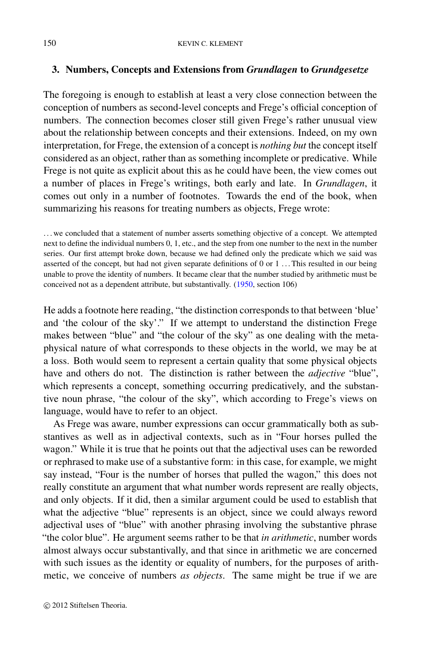### 3. Numbers, Concepts and Extensions from *Grundlagen* to *Grundgesetze*

The foregoing is enough to establish at least a very close connection between the conception of numbers as second-level concepts and Frege's official conception of numbers. The connection becomes closer still given Frege's rather unusual view about the relationship between concepts and their extensions. Indeed, on my own interpretation, for Frege, the extension of a concept is *nothing but* the concept itself considered as an object, rather than as something incomplete or predicative. While Frege is not quite as explicit about this as he could have been, the view comes out a number of places in Frege's writings, both early and late. In *Grundlagen*, it comes out only in a number of footnotes. Towards the end of the book, when summarizing his reasons for treating numbers as objects, Frege wrote:

. . . we concluded that a statement of number asserts something objective of a concept. We attempted next to define the individual numbers 0, 1, etc., and the step from one number to the next in the number series. Our first attempt broke down, because we had defined only the predicate which we said was asserted of the concept, but had not given separate definitions of 0 or 1 . . . This resulted in our being unable to prove the identity of numbers. It became clear that the number studied by arithmetic must be conceived not as a dependent attribute, but substantivally. [\(1950,](#page-20-3) section 106)

He adds a footnote here reading, "the distinction corresponds to that between 'blue' and 'the colour of the sky'." If we attempt to understand the distinction Frege makes between "blue" and "the colour of the sky" as one dealing with the metaphysical nature of what corresponds to these objects in the world, we may be at a loss. Both would seem to represent a certain quality that some physical objects have and others do not. The distinction is rather between the *adjective* "blue", which represents a concept, something occurring predicatively, and the substantive noun phrase, "the colour of the sky", which according to Frege's views on language, would have to refer to an object.

As Frege was aware, number expressions can occur grammatically both as substantives as well as in adjectival contexts, such as in "Four horses pulled the wagon." While it is true that he points out that the adjectival uses can be reworded or rephrased to make use of a substantive form: in this case, for example, we might say instead, "Four is the number of horses that pulled the wagon," this does not really constitute an argument that what number words represent are really objects, and only objects. If it did, then a similar argument could be used to establish that what the adjective "blue" represents is an object, since we could always reword adjectival uses of "blue" with another phrasing involving the substantive phrase "the color blue". He argument seems rather to be that *in arithmetic*, number words almost always occur substantivally, and that since in arithmetic we are concerned with such issues as the identity or equality of numbers, for the purposes of arithmetic, we conceive of numbers *as objects*. The same might be true if we are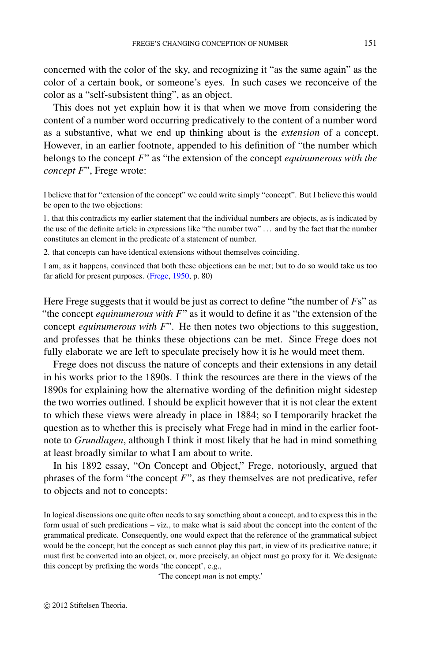concerned with the color of the sky, and recognizing it "as the same again" as the color of a certain book, or someone's eyes. In such cases we reconceive of the color as a "self-subsistent thing", as an object.

This does not yet explain how it is that when we move from considering the content of a number word occurring predicatively to the content of a number word as a substantive, what we end up thinking about is the *extension* of a concept. However, in an earlier footnote, appended to his definition of "the number which belongs to the concept *F*" as "the extension of the concept *equinumerous with the concept F*", Frege wrote:

I believe that for "extension of the concept" we could write simply "concept". But I believe this would be open to the two objections:

1. that this contradicts my earlier statement that the individual numbers are objects, as is indicated by the use of the definite article in expressions like "the number two" . . . and by the fact that the number constitutes an element in the predicate of a statement of number.

2. that concepts can have identical extensions without themselves coinciding.

I am, as it happens, convinced that both these objections can be met; but to do so would take us too far afield for present purposes. [\(Frege,](#page-20-3) [1950,](#page-20-3) p. 80)

Here Frege suggests that it would be just as correct to define "the number of *F*s" as "the concept *equinumerous with F*" as it would to define it as "the extension of the concept *equinumerous with F*". He then notes two objections to this suggestion, and professes that he thinks these objections can be met. Since Frege does not fully elaborate we are left to speculate precisely how it is he would meet them.

Frege does not discuss the nature of concepts and their extensions in any detail in his works prior to the 1890s. I think the resources are there in the views of the 1890s for explaining how the alternative wording of the definition might sidestep the two worries outlined. I should be explicit however that it is not clear the extent to which these views were already in place in 1884; so I temporarily bracket the question as to whether this is precisely what Frege had in mind in the earlier footnote to *Grundlagen*, although I think it most likely that he had in mind something at least broadly similar to what I am about to write.

In his 1892 essay, "On Concept and Object," Frege, notoriously, argued that phrases of the form "the concept *F*", as they themselves are not predicative, refer to objects and not to concepts:

In logical discussions one quite often needs to say something about a concept, and to express this in the form usual of such predications – viz., to make what is said about the concept into the content of the grammatical predicate. Consequently, one would expect that the reference of the grammatical subject would be the concept; but the concept as such cannot play this part, in view of its predicative nature; it must first be converted into an object, or, more precisely, an object must go proxy for it. We designate this concept by prefixing the words 'the concept', e.g.,

'The concept *man* is not empty.'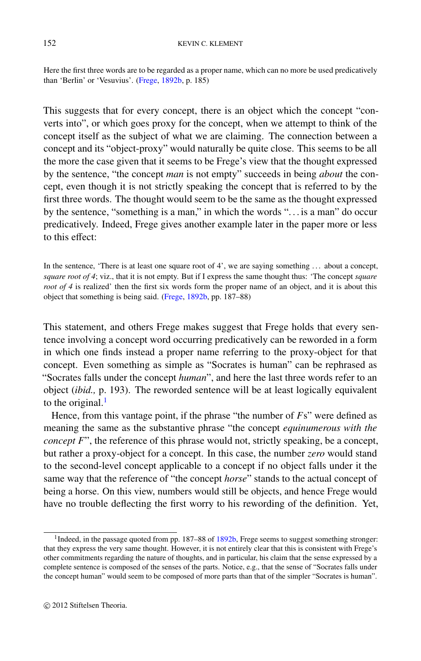Here the first three words are to be regarded as a proper name, which can no more be used predicatively than 'Berlin' or 'Vesuvius'. [\(Frege,](#page-20-4) [1892b,](#page-20-4) p. 185)

This suggests that for every concept, there is an object which the concept "converts into", or which goes proxy for the concept, when we attempt to think of the concept itself as the subject of what we are claiming. The connection between a concept and its "object-proxy" would naturally be quite close. This seems to be all the more the case given that it seems to be Frege's view that the thought expressed by the sentence, "the concept *man* is not empty" succeeds in being *about* the concept, even though it is not strictly speaking the concept that is referred to by the first three words. The thought would seem to be the same as the thought expressed by the sentence, "something is a man," in which the words ". . . is a man" do occur predicatively. Indeed, Frege gives another example later in the paper more or less to this effect:

In the sentence, 'There is at least one square root of 4', we are saying something ... about a concept, *square root of 4*; viz., that it is not empty. But if I express the same thought thus: 'The concept *square root of 4* is realized' then the first six words form the proper name of an object, and it is about this object that something is being said. [\(Frege,](#page-20-4) [1892b,](#page-20-4) pp. 187–88)

This statement, and others Frege makes suggest that Frege holds that every sentence involving a concept word occurring predicatively can be reworded in a form in which one finds instead a proper name referring to the proxy-object for that concept. Even something as simple as "Socrates is human" can be rephrased as "Socrates falls under the concept *human*", and here the last three words refer to an object (*ibid.,* p. 193). The reworded sentence will be at least logically equivalent to the original. $<sup>1</sup>$  $<sup>1</sup>$  $<sup>1</sup>$ </sup>

Hence, from this vantage point, if the phrase "the number of *F*s" were defined as meaning the same as the substantive phrase "the concept *equinumerous with the concept F*", the reference of this phrase would not, strictly speaking, be a concept, but rather a proxy-object for a concept. In this case, the number *zero* would stand to the second-level concept applicable to a concept if no object falls under it the same way that the reference of "the concept *horse*" stands to the actual concept of being a horse. On this view, numbers would still be objects, and hence Frege would have no trouble deflecting the first worry to his rewording of the definition. Yet,

<span id="page-6-0"></span><sup>&</sup>lt;sup>1</sup>Indeed, in the passage quoted from pp. 187–88 of [1892b,](#page-20-4) Frege seems to suggest something stronger: that they express the very same thought. However, it is not entirely clear that this is consistent with Frege's other commitments regarding the nature of thoughts, and in particular, his claim that the sense expressed by a complete sentence is composed of the senses of the parts. Notice, e.g., that the sense of "Socrates falls under the concept human" would seem to be composed of more parts than that of the simpler "Socrates is human".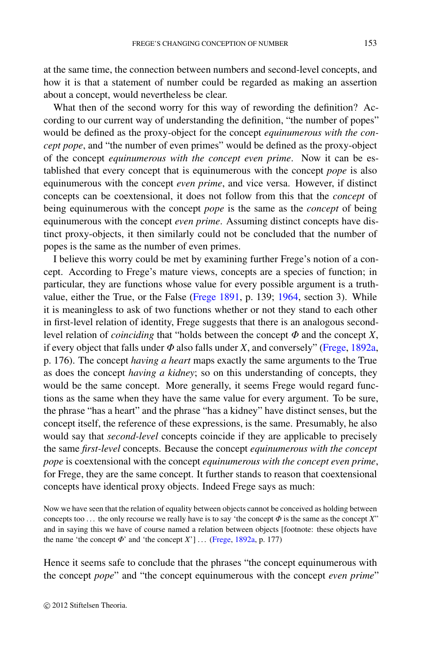at the same time, the connection between numbers and second-level concepts, and how it is that a statement of number could be regarded as making an assertion about a concept, would nevertheless be clear.

What then of the second worry for this way of rewording the definition? According to our current way of understanding the definition, "the number of popes" would be defined as the proxy-object for the concept *equinumerous with the concept pope*, and "the number of even primes" would be defined as the proxy-object of the concept *equinumerous with the concept even prime*. Now it can be established that every concept that is equinumerous with the concept *pope* is also equinumerous with the concept *even prime*, and vice versa. However, if distinct concepts can be coextensional, it does not follow from this that the *concept* of being equinumerous with the concept *pope* is the same as the *concept* of being equinumerous with the concept *even prime*. Assuming distinct concepts have distinct proxy-objects, it then similarly could not be concluded that the number of popes is the same as the number of even primes.

I believe this worry could be met by examining further Frege's notion of a concept. According to Frege's mature views, concepts are a species of function; in particular, they are functions whose value for every possible argument is a truthvalue, either the True, or the False [\(Frege](#page-20-5) [1891,](#page-20-5) p. 139; [1964,](#page-21-1) section 3). While it is meaningless to ask of two functions whether or not they stand to each other in first-level relation of identity, Frege suggests that there is an analogous secondlevel relation of *coinciding* that "holds between the concept  $\Phi$  and the concept *X*, if every object that falls under  $\Phi$  also falls under *X*, and conversely" [\(Frege,](#page-20-6) [1892a,](#page-20-6) p. 176). The concept *having a heart* maps exactly the same arguments to the True as does the concept *having a kidney*; so on this understanding of concepts, they would be the same concept. More generally, it seems Frege would regard functions as the same when they have the same value for every argument. To be sure, the phrase "has a heart" and the phrase "has a kidney" have distinct senses, but the concept itself, the reference of these expressions, is the same. Presumably, he also would say that *second-level* concepts coincide if they are applicable to precisely the same *first-level* concepts. Because the concept *equinumerous with the concept pope* is coextensional with the concept *equinumerous with the concept even prime*, for Frege, they are the same concept. It further stands to reason that coextensional concepts have identical proxy objects. Indeed Frege says as much:

Now we have seen that the relation of equality between objects cannot be conceived as holding between concepts too ... the only recourse we really have is to say 'the concept  $\Phi$  is the same as the concept *X*" and in saying this we have of course named a relation between objects [footnote: these objects have the name 'the concept  $\Phi$ ' and 'the concept *X*'] . . . [\(Frege,](#page-20-6) [1892a,](#page-20-6) p. 177)

Hence it seems safe to conclude that the phrases "the concept equinumerous with the concept *pope*" and "the concept equinumerous with the concept *even prime*"

c 2012 Stiftelsen Theoria.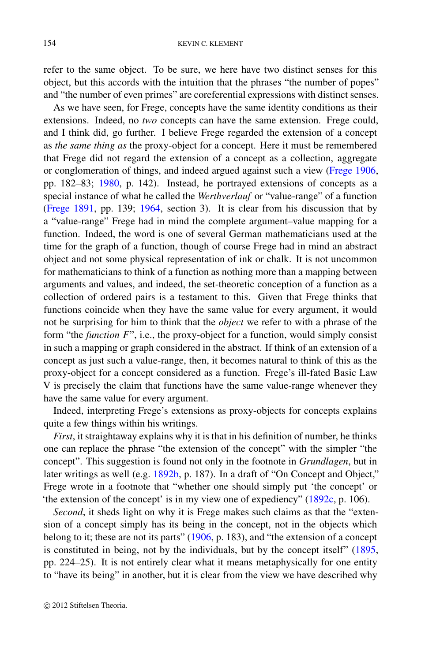refer to the same object. To be sure, we here have two distinct senses for this object, but this accords with the intuition that the phrases "the number of popes" and "the number of even primes" are coreferential expressions with distinct senses.

As we have seen, for Frege, concepts have the same identity conditions as their extensions. Indeed, no *two* concepts can have the same extension. Frege could, and I think did, go further. I believe Frege regarded the extension of a concept as *the same thing as* the proxy-object for a concept. Here it must be remembered that Frege did not regard the extension of a concept as a collection, aggregate or conglomeration of things, and indeed argued against such a view [\(Frege](#page-20-7) [1906,](#page-20-7) pp. 182–83; [1980,](#page-21-2) p. 142). Instead, he portrayed extensions of concepts as a special instance of what he called the *Werthverlauf* or "value-range" of a function [\(Frege](#page-20-5) [1891,](#page-20-5) pp. 139; [1964,](#page-21-1) section 3). It is clear from his discussion that by a "value-range" Frege had in mind the complete argument–value mapping for a function. Indeed, the word is one of several German mathematicians used at the time for the graph of a function, though of course Frege had in mind an abstract object and not some physical representation of ink or chalk. It is not uncommon for mathematicians to think of a function as nothing more than a mapping between arguments and values, and indeed, the set-theoretic conception of a function as a collection of ordered pairs is a testament to this. Given that Frege thinks that functions coincide when they have the same value for every argument, it would not be surprising for him to think that the *object* we refer to with a phrase of the form "the *function F*", i.e., the proxy-object for a function, would simply consist in such a mapping or graph considered in the abstract. If think of an extension of a concept as just such a value-range, then, it becomes natural to think of this as the proxy-object for a concept considered as a function. Frege's ill-fated Basic Law V is precisely the claim that functions have the same value-range whenever they have the same value for every argument.

Indeed, interpreting Frege's extensions as proxy-objects for concepts explains quite a few things within his writings.

*First*, it straightaway explains why it is that in his definition of number, he thinks one can replace the phrase "the extension of the concept" with the simpler "the concept". This suggestion is found not only in the footnote in *Grundlagen*, but in later writings as well (e.g. [1892b,](#page-20-4) p. 187). In a draft of "On Concept and Object," Frege wrote in a footnote that "whether one should simply put 'the concept' or 'the extension of the concept' is in my view one of expediency" [\(1892c,](#page-20-8) p. 106).

*Second*, it sheds light on why it is Frege makes such claims as that the "extension of a concept simply has its being in the concept, not in the objects which belong to it; these are not its parts" [\(1906,](#page-20-7) p. 183), and "the extension of a concept is constituted in being, not by the individuals, but by the concept itself" [\(1895,](#page-20-9) pp. 224–25). It is not entirely clear what it means metaphysically for one entity to "have its being" in another, but it is clear from the view we have described why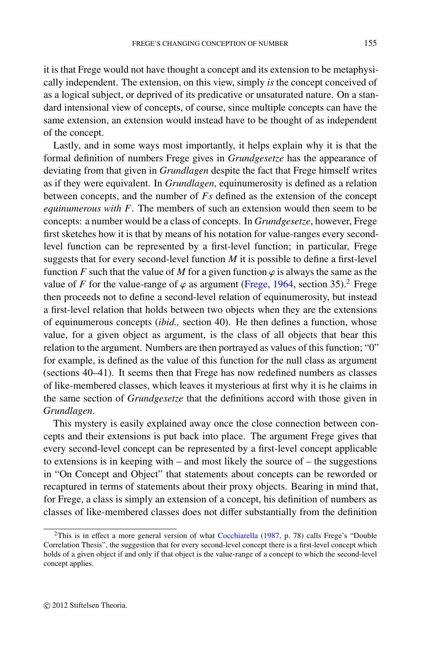it is that Frege would not have thought a concept and its extension to be metaphysically independent. The extension, on this view, simply *is* the concept conceived of as a logical subject, or deprived of its predicative or unsaturated nature. On a standard intensional view of concepts, of course, since multiple concepts can have the same extension, an extension would instead have to be thought of as independent of the concept.

Lastly, and in some ways most importantly, it helps explain why it is that the formal definition of numbers Frege gives in *Grundgesetze* has the appearance of deviating from that given in *Grundlagen* despite the fact that Frege himself writes as if they were equivalent. In *Grundlagen*, equinumerosity is defined as a relation between concepts, and the number of *Fs* defined as the extension of the concept *equinumerous with F*. The members of such an extension would then seem to be concepts: a number would be a class of concepts. In *Grundgesetze*, however, Frege first sketches how it is that by means of his notation for value-ranges every secondlevel function can be represented by a first-level function; in particular, Frege suggests that for every second-level function *M* it is possible to define a first-level function *F* such that the value of *M* for a given function  $\varphi$  is always the same as the value of *F* for the value-range of  $\varphi$  as argument [\(Frege,](#page-21-1) [1964,](#page-21-1) section 35).<sup>[2](#page-9-0)</sup> Frege then proceeds not to define a second-level relation of equinumerosity, but instead a first-level relation that holds between two objects when they are the extensions of equinumerous concepts (*ibid.,* section 40). He then defines a function, whose value, for a given object as argument, is the class of all objects that bear this relation to the argument. Numbers are then portrayed as values of this function; "0" for example, is defined as the value of this function for the null class as argument (sections 40–41). It seems then that Frege has now redefined numbers as classes of like-membered classes, which leaves it mysterious at first why it is he claims in the same section of *Grundgesetze* that the definitions accord with those given in *Grundlagen*.

This mystery is easily explained away once the close connection between concepts and their extensions is put back into place. The argument Frege gives that every second-level concept can be represented by a first-level concept applicable to extensions is in keeping with – and most likely the source of – the suggestions in "On Concept and Object" that statements about concepts can be reworded or recaptured in terms of statements about their proxy objects. Bearing in mind that, for Frege, a class is simply an extension of a concept, his definition of numbers as classes of like-membered classes does not differ substantially from the definition

<span id="page-9-0"></span><sup>2</sup>This is in effect a more general version of what [Cocchiarella](#page-20-10) [\(1987,](#page-20-10) p. 78) calls Frege's "Double Correlation Thesis", the suggestion that for every second-level concept there is a first-level concept which holds of a given object if and only if that object is the value-range of a concept to which the second-level concept applies.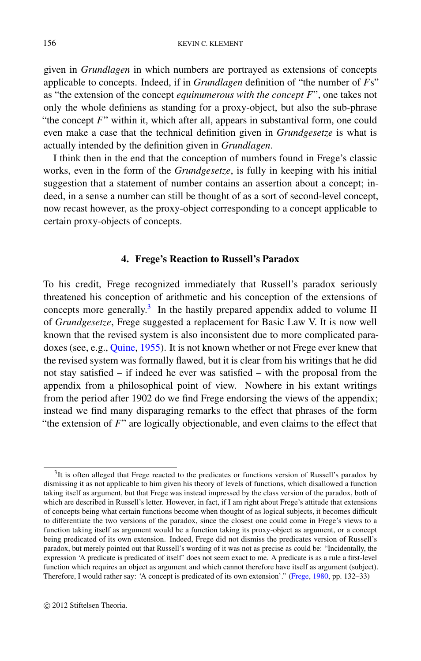given in *Grundlagen* in which numbers are portrayed as extensions of concepts applicable to concepts. Indeed, if in *Grundlagen* definition of "the number of *F*s" as "the extension of the concept *equinumerous with the concept F*", one takes not only the whole definiens as standing for a proxy-object, but also the sub-phrase "the concept *F*" within it, which after all, appears in substantival form, one could even make a case that the technical definition given in *Grundgesetze* is what is actually intended by the definition given in *Grundlagen*.

I think then in the end that the conception of numbers found in Frege's classic works, even in the form of the *Grundgesetze*, is fully in keeping with his initial suggestion that a statement of number contains an assertion about a concept; indeed, in a sense a number can still be thought of as a sort of second-level concept, now recast however, as the proxy-object corresponding to a concept applicable to certain proxy-objects of concepts.

#### 4. Frege's Reaction to Russell's Paradox

To his credit, Frege recognized immediately that Russell's paradox seriously threatened his conception of arithmetic and his conception of the extensions of concepts more generally.<sup>[3](#page-10-0)</sup> In the hastily prepared appendix added to volume II of *Grundgesetze*, Frege suggested a replacement for Basic Law V. It is now well known that the revised system is also inconsistent due to more complicated paradoxes (see, e.g., [Quine,](#page-21-3) [1955\)](#page-21-3). It is not known whether or not Frege ever knew that the revised system was formally flawed, but it is clear from his writings that he did not stay satisfied – if indeed he ever was satisfied – with the proposal from the appendix from a philosophical point of view. Nowhere in his extant writings from the period after 1902 do we find Frege endorsing the views of the appendix; instead we find many disparaging remarks to the effect that phrases of the form "the extension of *F*" are logically objectionable, and even claims to the effect that

<span id="page-10-0"></span><sup>&</sup>lt;sup>3</sup>It is often alleged that Frege reacted to the predicates or functions version of Russell's paradox by dismissing it as not applicable to him given his theory of levels of functions, which disallowed a function taking itself as argument, but that Frege was instead impressed by the class version of the paradox, both of which are described in Russell's letter. However, in fact, if I am right about Frege's attitude that extensions of concepts being what certain functions become when thought of as logical subjects, it becomes difficult to differentiate the two versions of the paradox, since the closest one could come in Frege's views to a function taking itself as argument would be a function taking its proxy-object as argument, or a concept being predicated of its own extension. Indeed, Frege did not dismiss the predicates version of Russell's paradox, but merely pointed out that Russell's wording of it was not as precise as could be: "Incidentally, the expression 'A predicate is predicated of itself' does not seem exact to me. A predicate is as a rule a first-level function which requires an object as argument and which cannot therefore have itself as argument (subject). Therefore, I would rather say: 'A concept is predicated of its own extension'." [\(Frege,](#page-21-2) [1980,](#page-21-2) pp. 132–33)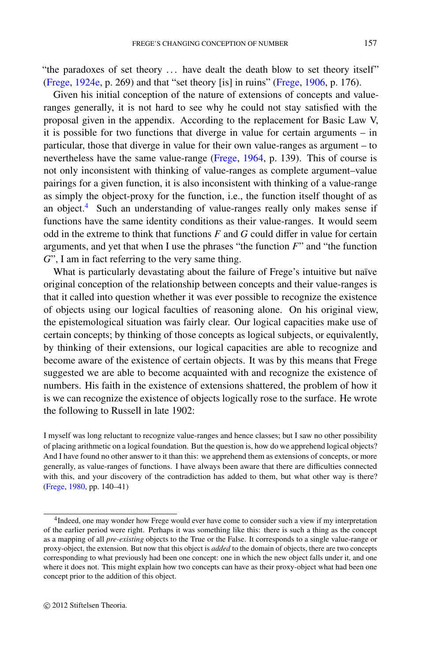"the paradoxes of set theory ... have dealt the death blow to set theory itself" [\(Frege,](#page-20-11) [1924e,](#page-20-11) p. 269) and that "set theory [is] in ruins" [\(Frege,](#page-20-7) [1906,](#page-20-7) p. 176).

Given his initial conception of the nature of extensions of concepts and valueranges generally, it is not hard to see why he could not stay satisfied with the proposal given in the appendix. According to the replacement for Basic Law V, it is possible for two functions that diverge in value for certain arguments – in particular, those that diverge in value for their own value-ranges as argument – to nevertheless have the same value-range [\(Frege,](#page-21-1) [1964,](#page-21-1) p. 139). This of course is not only inconsistent with thinking of value-ranges as complete argument–value pairings for a given function, it is also inconsistent with thinking of a value-range as simply the object-proxy for the function, i.e., the function itself thought of as an object.<sup>[4](#page-11-0)</sup> Such an understanding of value-ranges really only makes sense if functions have the same identity conditions as their value-ranges. It would seem odd in the extreme to think that functions *F* and *G* could differ in value for certain arguments, and yet that when I use the phrases "the function *F*" and "the function *G*", I am in fact referring to the very same thing.

What is particularly devastating about the failure of Frege's intuitive but naïve original conception of the relationship between concepts and their value-ranges is that it called into question whether it was ever possible to recognize the existence of objects using our logical faculties of reasoning alone. On his original view, the epistemological situation was fairly clear. Our logical capacities make use of certain concepts; by thinking of those concepts as logical subjects, or equivalently, by thinking of their extensions, our logical capacities are able to recognize and become aware of the existence of certain objects. It was by this means that Frege suggested we are able to become acquainted with and recognize the existence of numbers. His faith in the existence of extensions shattered, the problem of how it is we can recognize the existence of objects logically rose to the surface. He wrote the following to Russell in late 1902:

I myself was long reluctant to recognize value-ranges and hence classes; but I saw no other possibility of placing arithmetic on a logical foundation. But the question is, how do we apprehend logical objects? And I have found no other answer to it than this: we apprehend them as extensions of concepts, or more generally, as value-ranges of functions. I have always been aware that there are difficulties connected with this, and your discovery of the contradiction has added to them, but what other way is there? [\(Frege,](#page-21-2) [1980,](#page-21-2) pp. 140–41)

<span id="page-11-0"></span><sup>&</sup>lt;sup>4</sup>Indeed, one may wonder how Frege would ever have come to consider such a view if my interpretation of the earlier period were right. Perhaps it was something like this: there is such a thing as the concept as a mapping of all *pre-existing* objects to the True or the False. It corresponds to a single value-range or proxy-object, the extension. But now that this object is *added* to the domain of objects, there are two concepts corresponding to what previously had been one concept: one in which the new object falls under it, and one where it does not. This might explain how two concepts can have as their proxy-object what had been one concept prior to the addition of this object.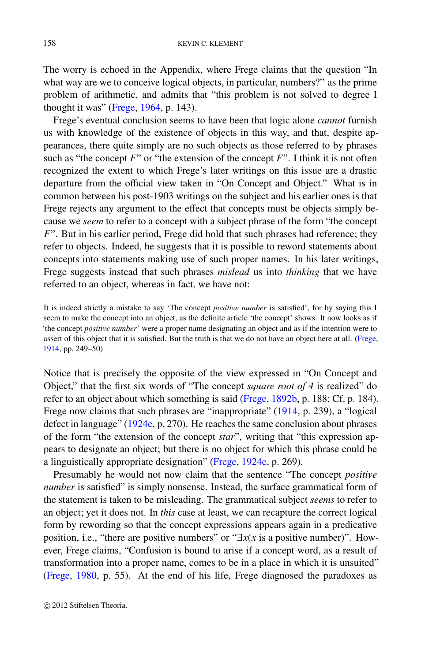The worry is echoed in the Appendix, where Frege claims that the question "In what way are we to conceive logical objects, in particular, numbers?" as the prime problem of arithmetic, and admits that "this problem is not solved to degree I thought it was" [\(Frege,](#page-21-1) [1964,](#page-21-1) p. 143).

Frege's eventual conclusion seems to have been that logic alone *cannot* furnish us with knowledge of the existence of objects in this way, and that, despite appearances, there quite simply are no such objects as those referred to by phrases such as "the concept *F*" or "the extension of the concept *F*". I think it is not often recognized the extent to which Frege's later writings on this issue are a drastic departure from the official view taken in "On Concept and Object." What is in common between his post-1903 writings on the subject and his earlier ones is that Frege rejects any argument to the effect that concepts must be objects simply because we *seem* to refer to a concept with a subject phrase of the form "the concept *F*". But in his earlier period, Frege did hold that such phrases had reference; they refer to objects. Indeed, he suggests that it is possible to reword statements about concepts into statements making use of such proper names. In his later writings, Frege suggests instead that such phrases *mislead* us into *thinking* that we have referred to an object, whereas in fact, we have not:

It is indeed strictly a mistake to say 'The concept *positive number* is satisfied', for by saying this I seem to make the concept into an object, as the definite article 'the concept' shows. It now looks as if 'the concept *positive number*' were a proper name designating an object and as if the intention were to assert of this object that it is satisfied. But the truth is that we do not have an object here at all. [\(Frege,](#page-20-12) [1914,](#page-20-12) pp. 249–50)

Notice that is precisely the opposite of the view expressed in "On Concept and Object," that the first six words of "The concept *square root of 4* is realized" do refer to an object about which something is said [\(Frege,](#page-20-4) [1892b,](#page-20-4) p. 188; Cf. p. 184). Frege now claims that such phrases are "inappropriate" [\(1914,](#page-20-12) p. 239), a "logical defect in language" [\(1924e,](#page-20-11) p. 270). He reaches the same conclusion about phrases of the form "the extension of the concept *star*", writing that "this expression appears to designate an object; but there is no object for which this phrase could be a linguistically appropriate designation" [\(Frege,](#page-20-11) [1924e,](#page-20-11) p. 269).

Presumably he would not now claim that the sentence "The concept *positive number* is satisfied" is simply nonsense. Instead, the surface grammatical form of the statement is taken to be misleading. The grammatical subject *seems* to refer to an object; yet it does not. In *this* case at least, we can recapture the correct logical form by rewording so that the concept expressions appears again in a predicative position, i.e., "there are positive numbers" or "∃*x*(*x* is a positive number)". However, Frege claims, "Confusion is bound to arise if a concept word, as a result of transformation into a proper name, comes to be in a place in which it is unsuited" [\(Frege,](#page-21-2) [1980,](#page-21-2) p. 55). At the end of his life, Frege diagnosed the paradoxes as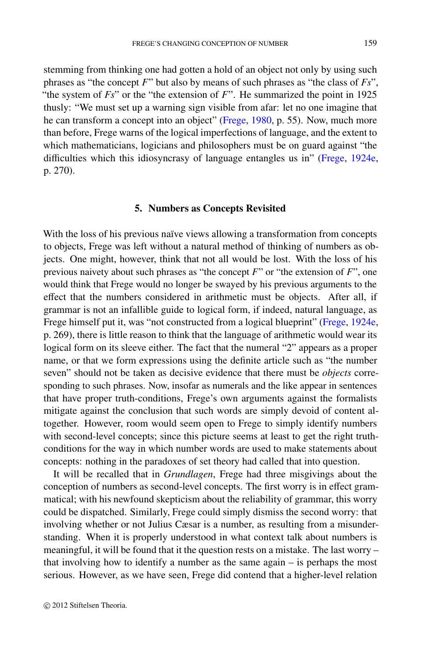stemming from thinking one had gotten a hold of an object not only by using such phrases as "the concept *F*" but also by means of such phrases as "the class of *Fs*", "the system of *Fs*" or the "the extension of *F*". He summarized the point in 1925 thusly: "We must set up a warning sign visible from afar: let no one imagine that he can transform a concept into an object" [\(Frege,](#page-21-2) [1980,](#page-21-2) p. 55). Now, much more than before, Frege warns of the logical imperfections of language, and the extent to which mathematicians, logicians and philosophers must be on guard against "the difficulties which this idiosyncrasy of language entangles us in" [\(Frege,](#page-20-11) [1924e,](#page-20-11) p. 270).

#### 5. Numbers as Concepts Revisited

With the loss of his previous naïve views allowing a transformation from concepts to objects, Frege was left without a natural method of thinking of numbers as objects. One might, however, think that not all would be lost. With the loss of his previous naivety about such phrases as "the concept *F*" or "the extension of *F*", one would think that Frege would no longer be swayed by his previous arguments to the effect that the numbers considered in arithmetic must be objects. After all, if grammar is not an infallible guide to logical form, if indeed, natural language, as Frege himself put it, was "not constructed from a logical blueprint" [\(Frege,](#page-20-11) [1924e,](#page-20-11) p. 269), there is little reason to think that the language of arithmetic would wear its logical form on its sleeve either. The fact that the numeral "2" appears as a proper name, or that we form expressions using the definite article such as "the number seven" should not be taken as decisive evidence that there must be *objects* corresponding to such phrases. Now, insofar as numerals and the like appear in sentences that have proper truth-conditions, Frege's own arguments against the formalists mitigate against the conclusion that such words are simply devoid of content altogether. However, room would seem open to Frege to simply identify numbers with second-level concepts; since this picture seems at least to get the right truthconditions for the way in which number words are used to make statements about concepts: nothing in the paradoxes of set theory had called that into question.

It will be recalled that in *Grundlagen*, Frege had three misgivings about the conception of numbers as second-level concepts. The first worry is in effect grammatical; with his newfound skepticism about the reliability of grammar, this worry could be dispatched. Similarly, Frege could simply dismiss the second worry: that involving whether or not Julius Cæsar is a number, as resulting from a misunderstanding. When it is properly understood in what context talk about numbers is meaningful, it will be found that it the question rests on a mistake. The last worry – that involving how to identify a number as the same again – is perhaps the most serious. However, as we have seen, Frege did contend that a higher-level relation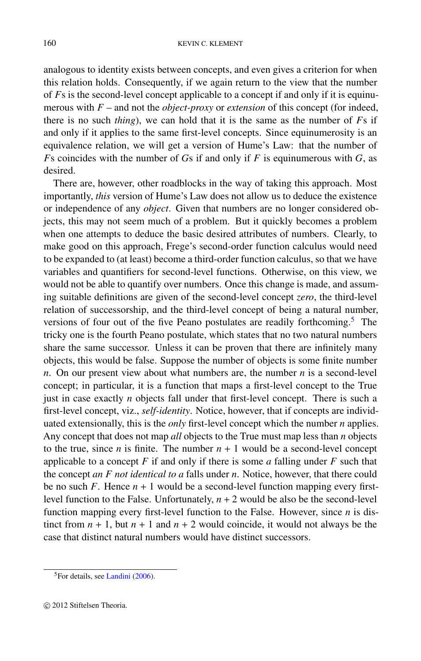analogous to identity exists between concepts, and even gives a criterion for when this relation holds. Consequently, if we again return to the view that the number of *F*s is the second-level concept applicable to a concept if and only if it is equinumerous with *F* – and not the *object-proxy* or *extension* of this concept (for indeed, there is no such *thing*), we can hold that it is the same as the number of *F*s if and only if it applies to the same first-level concepts. Since equinumerosity is an equivalence relation, we will get a version of Hume's Law: that the number of *F*s coincides with the number of *G*s if and only if *F* is equinumerous with *G*, as desired.

There are, however, other roadblocks in the way of taking this approach. Most importantly, *this* version of Hume's Law does not allow us to deduce the existence or independence of any *object*. Given that numbers are no longer considered objects, this may not seem much of a problem. But it quickly becomes a problem when one attempts to deduce the basic desired attributes of numbers. Clearly, to make good on this approach, Frege's second-order function calculus would need to be expanded to (at least) become a third-order function calculus, so that we have variables and quantifiers for second-level functions. Otherwise, on this view, we would not be able to quantify over numbers. Once this change is made, and assuming suitable definitions are given of the second-level concept *zero*, the third-level relation of successorship, and the third-level concept of being a natural number, versions of four out of the five Peano postulates are readily forthcoming.<sup>[5](#page-14-0)</sup> The tricky one is the fourth Peano postulate, which states that no two natural numbers share the same successor. Unless it can be proven that there are infinitely many objects, this would be false. Suppose the number of objects is some finite number *n*. On our present view about what numbers are, the number *n* is a second-level concept; in particular, it is a function that maps a first-level concept to the True just in case exactly *n* objects fall under that first-level concept. There is such a first-level concept, viz., *self-identity*. Notice, however, that if concepts are individuated extensionally, this is the *only* first-level concept which the number *n* applies. Any concept that does not map *all* objects to the True must map less than *n* objects to the true, since *n* is finite. The number  $n + 1$  would be a second-level concept applicable to a concept *F* if and only if there is some *a* falling under *F* such that the concept *an F not identical to a* falls under *n*. Notice, however, that there could be no such  $F$ . Hence  $n + 1$  would be a second-level function mapping every firstlevel function to the False. Unfortunately,  $n + 2$  would be also be the second-level function mapping every first-level function to the False. However, since *n* is distinct from  $n + 1$ , but  $n + 1$  and  $n + 2$  would coincide, it would not always be the case that distinct natural numbers would have distinct successors.

<span id="page-14-0"></span><sup>5</sup>For details, see [Landini](#page-21-4) [\(2006\)](#page-21-4).

c 2012 Stiftelsen Theoria.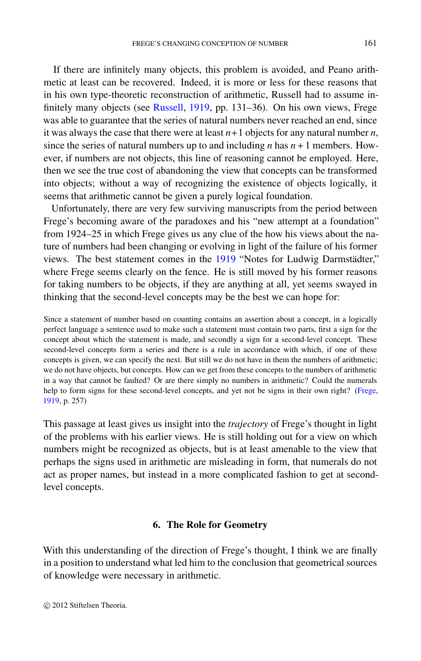If there are infinitely many objects, this problem is avoided, and Peano arithmetic at least can be recovered. Indeed, it is more or less for these reasons that in his own type-theoretic reconstruction of arithmetic, Russell had to assume infinitely many objects (see [Russell,](#page-21-5) [1919,](#page-21-5) pp. 131–36). On his own views, Frege was able to guarantee that the series of natural numbers never reached an end, since it was always the case that there were at least  $n+1$  objects for any natural number *n*, since the series of natural numbers up to and including *n* has  $n + 1$  members. However, if numbers are not objects, this line of reasoning cannot be employed. Here, then we see the true cost of abandoning the view that concepts can be transformed into objects; without a way of recognizing the existence of objects logically, it seems that arithmetic cannot be given a purely logical foundation.

Unfortunately, there are very few surviving manuscripts from the period between Frege's becoming aware of the paradoxes and his "new attempt at a foundation" from 1924–25 in which Frege gives us any clue of the how his views about the nature of numbers had been changing or evolving in light of the failure of his former views. The best statement comes in the [1919](#page-20-13) "Notes for Ludwig Darmstädter," where Frege seems clearly on the fence. He is still moved by his former reasons for taking numbers to be objects, if they are anything at all, yet seems swayed in thinking that the second-level concepts may be the best we can hope for:

Since a statement of number based on counting contains an assertion about a concept, in a logically perfect language a sentence used to make such a statement must contain two parts, first a sign for the concept about which the statement is made, and secondly a sign for a second-level concept. These second-level concepts form a series and there is a rule in accordance with which, if one of these concepts is given, we can specify the next. But still we do not have in them the numbers of arithmetic; we do not have objects, but concepts. How can we get from these concepts to the numbers of arithmetic in a way that cannot be faulted? Or are there simply no numbers in arithmetic? Could the numerals help to form signs for these second-level concepts, and yet not be signs in their own right? [\(Frege,](#page-20-13) [1919,](#page-20-13) p. 257)

This passage at least gives us insight into the *trajectory* of Frege's thought in light of the problems with his earlier views. He is still holding out for a view on which numbers might be recognized as objects, but is at least amenable to the view that perhaps the signs used in arithmetic are misleading in form, that numerals do not act as proper names, but instead in a more complicated fashion to get at secondlevel concepts.

### 6. The Role for Geometry

With this understanding of the direction of Frege's thought, I think we are finally in a position to understand what led him to the conclusion that geometrical sources of knowledge were necessary in arithmetic.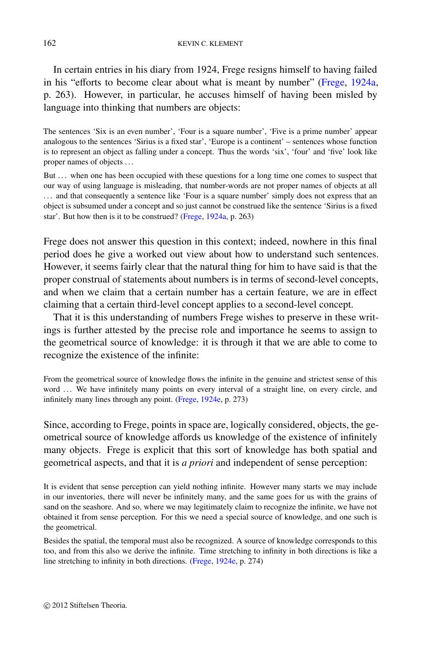In certain entries in his diary from 1924, Frege resigns himself to having failed in his "efforts to become clear about what is meant by number" [\(Frege,](#page-20-1) [1924a,](#page-20-1) p. 263). However, in particular, he accuses himself of having been misled by language into thinking that numbers are objects:

The sentences 'Six is an even number', 'Four is a square number', 'Five is a prime number' appear analogous to the sentences 'Sirius is a fixed star', 'Europe is a continent' – sentences whose function is to represent an object as falling under a concept. Thus the words 'six', 'four' and 'five' look like proper names of objects . . .

But ... when one has been occupied with these questions for a long time one comes to suspect that our way of using language is misleading, that number-words are not proper names of objects at all ... and that consequently a sentence like 'Four is a square number' simply does not express that an object is subsumed under a concept and so just cannot be construed like the sentence 'Sirius is a fixed star'. But how then is it to be construed? [\(Frege,](#page-20-1) [1924a,](#page-20-1) p. 263)

Frege does not answer this question in this context; indeed, nowhere in this final period does he give a worked out view about how to understand such sentences. However, it seems fairly clear that the natural thing for him to have said is that the proper construal of statements about numbers is in terms of second-level concepts, and when we claim that a certain number has a certain feature, we are in effect claiming that a certain third-level concept applies to a second-level concept.

That it is this understanding of numbers Frege wishes to preserve in these writings is further attested by the precise role and importance he seems to assign to the geometrical source of knowledge: it is through it that we are able to come to recognize the existence of the infinite:

From the geometrical source of knowledge flows the infinite in the genuine and strictest sense of this word ... We have infinitely many points on every interval of a straight line, on every circle, and infinitely many lines through any point. [\(Frege,](#page-20-11) [1924e,](#page-20-11) p. 273)

Since, according to Frege, points in space are, logically considered, objects, the geometrical source of knowledge affords us knowledge of the existence of infinitely many objects. Frege is explicit that this sort of knowledge has both spatial and geometrical aspects, and that it is *a priori* and independent of sense perception:

It is evident that sense perception can yield nothing infinite. However many starts we may include in our inventories, there will never be infinitely many, and the same goes for us with the grains of sand on the seashore. And so, where we may legitimately claim to recognize the infinite, we have not obtained it from sense perception. For this we need a special source of knowledge, and one such is the geometrical.

Besides the spatial, the temporal must also be recognized. A source of knowledge corresponds to this too, and from this also we derive the infinite. Time stretching to infinity in both directions is like a line stretching to infinity in both directions. [\(Frege,](#page-20-11) [1924e,](#page-20-11) p. 274)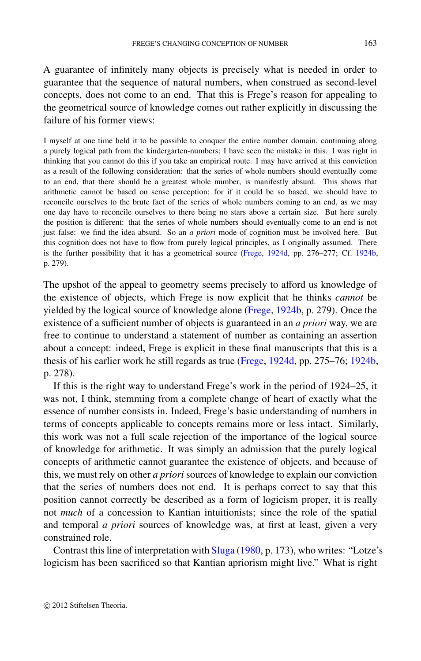A guarantee of infinitely many objects is precisely what is needed in order to guarantee that the sequence of natural numbers, when construed as second-level concepts, does not come to an end. That this is Frege's reason for appealing to the geometrical source of knowledge comes out rather explicitly in discussing the failure of his former views:

I myself at one time held it to be possible to conquer the entire number domain, continuing along a purely logical path from the kindergarten-numbers; I have seen the mistake in this. I was right in thinking that you cannot do this if you take an empirical route. I may have arrived at this conviction as a result of the following consideration: that the series of whole numbers should eventually come to an end, that there should be a greatest whole number, is manifestly absurd. This shows that arithmetic cannot be based on sense perception; for if it could be so based, we should have to reconcile ourselves to the brute fact of the series of whole numbers coming to an end, as we may one day have to reconcile ourselves to there being no stars above a certain size. But here surely the position is different: that the series of whole numbers should eventually come to an end is not just false: we find the idea absurd. So an *a priori* mode of cognition must be involved here. But this cognition does not have to flow from purely logical principles, as I originally assumed. There is the further possibility that it has a geometrical source [\(Frege,](#page-20-14) [1924d,](#page-20-14) pp. 276–277; Cf. [1924b,](#page-20-2) p. 279).

The upshot of the appeal to geometry seems precisely to afford us knowledge of the existence of objects, which Frege is now explicit that he thinks *cannot* be yielded by the logical source of knowledge alone [\(Frege,](#page-20-2) [1924b,](#page-20-2) p. 279). Once the existence of a sufficient number of objects is guaranteed in an *a priori* way, we are free to continue to understand a statement of number as containing an assertion about a concept: indeed, Frege is explicit in these final manuscripts that this is a thesis of his earlier work he still regards as true [\(Frege,](#page-20-14) [1924d,](#page-20-14) pp. 275–76; [1924b,](#page-20-2) p. 278).

If this is the right way to understand Frege's work in the period of 1924–25, it was not, I think, stemming from a complete change of heart of exactly what the essence of number consists in. Indeed, Frege's basic understanding of numbers in terms of concepts applicable to concepts remains more or less intact. Similarly, this work was not a full scale rejection of the importance of the logical source of knowledge for arithmetic. It was simply an admission that the purely logical concepts of arithmetic cannot guarantee the existence of objects, and because of this, we must rely on other *a priori* sources of knowledge to explain our conviction that the series of numbers does not end. It is perhaps correct to say that this position cannot correctly be described as a form of logicism proper, it is really not *much* of a concession to Kantian intuitionists; since the role of the spatial and temporal *a priori* sources of knowledge was, at first at least, given a very constrained role.

Contrast this line of interpretation with [Sluga](#page-21-0) [\(1980,](#page-21-0) p. 173), who writes: "Lotze's logicism has been sacrificed so that Kantian apriorism might live." What is right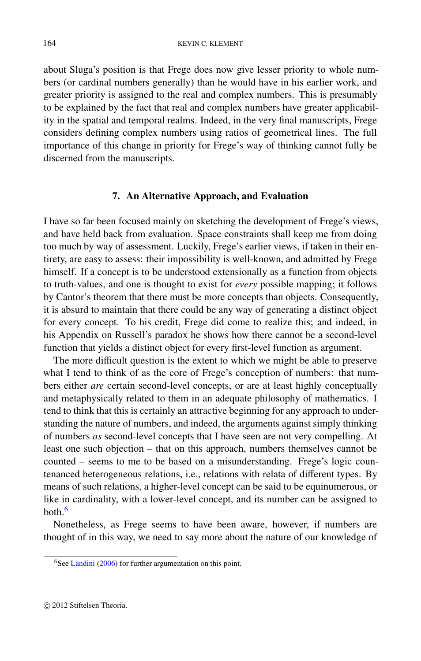about Sluga's position is that Frege does now give lesser priority to whole numbers (or cardinal numbers generally) than he would have in his earlier work, and greater priority is assigned to the real and complex numbers. This is presumably to be explained by the fact that real and complex numbers have greater applicability in the spatial and temporal realms. Indeed, in the very final manuscripts, Frege considers defining complex numbers using ratios of geometrical lines. The full importance of this change in priority for Frege's way of thinking cannot fully be discerned from the manuscripts.

## 7. An Alternative Approach, and Evaluation

I have so far been focused mainly on sketching the development of Frege's views, and have held back from evaluation. Space constraints shall keep me from doing too much by way of assessment. Luckily, Frege's earlier views, if taken in their entirety, are easy to assess: their impossibility is well-known, and admitted by Frege himself. If a concept is to be understood extensionally as a function from objects to truth-values, and one is thought to exist for *every* possible mapping; it follows by Cantor's theorem that there must be more concepts than objects. Consequently, it is absurd to maintain that there could be any way of generating a distinct object for every concept. To his credit, Frege did come to realize this; and indeed, in his Appendix on Russell's paradox he shows how there cannot be a second-level function that yields a distinct object for every first-level function as argument.

The more difficult question is the extent to which we might be able to preserve what I tend to think of as the core of Frege's conception of numbers: that numbers either *are* certain second-level concepts, or are at least highly conceptually and metaphysically related to them in an adequate philosophy of mathematics. I tend to think that this is certainly an attractive beginning for any approach to understanding the nature of numbers, and indeed, the arguments against simply thinking of numbers *as* second-level concepts that I have seen are not very compelling. At least one such objection – that on this approach, numbers themselves cannot be counted – seems to me to be based on a misunderstanding. Frege's logic countenanced heterogeneous relations, i.e., relations with relata of different types. By means of such relations, a higher-level concept can be said to be equinumerous, or like in cardinality, with a lower-level concept, and its number can be assigned to both. $6$ 

Nonetheless, as Frege seems to have been aware, however, if numbers are thought of in this way, we need to say more about the nature of our knowledge of

<span id="page-18-0"></span> $6$ See [Landini](#page-21-4) [\(2006\)](#page-21-4) for further argumentation on this point.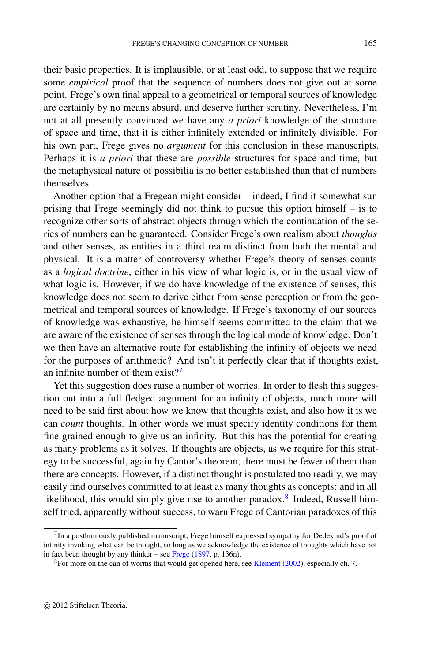their basic properties. It is implausible, or at least odd, to suppose that we require some *empirical* proof that the sequence of numbers does not give out at some point. Frege's own final appeal to a geometrical or temporal sources of knowledge are certainly by no means absurd, and deserve further scrutiny. Nevertheless, I'm not at all presently convinced we have any *a priori* knowledge of the structure of space and time, that it is either infinitely extended or infinitely divisible. For his own part, Frege gives no *argument* for this conclusion in these manuscripts. Perhaps it is *a priori* that these are *possible* structures for space and time, but the metaphysical nature of possibilia is no better established than that of numbers themselves.

Another option that a Fregean might consider – indeed, I find it somewhat surprising that Frege seemingly did not think to pursue this option himself – is to recognize other sorts of abstract objects through which the continuation of the series of numbers can be guaranteed. Consider Frege's own realism about *thoughts* and other senses, as entities in a third realm distinct from both the mental and physical. It is a matter of controversy whether Frege's theory of senses counts as a *logical doctrine*, either in his view of what logic is, or in the usual view of what logic is. However, if we do have knowledge of the existence of senses, this knowledge does not seem to derive either from sense perception or from the geometrical and temporal sources of knowledge. If Frege's taxonomy of our sources of knowledge was exhaustive, he himself seems committed to the claim that we are aware of the existence of senses through the logical mode of knowledge. Don't we then have an alternative route for establishing the infinity of objects we need for the purposes of arithmetic? And isn't it perfectly clear that if thoughts exist, an infinite number of them exist? $7^7$  $7^7$ 

Yet this suggestion does raise a number of worries. In order to flesh this suggestion out into a full fledged argument for an infinity of objects, much more will need to be said first about how we know that thoughts exist, and also how it is we can *count* thoughts. In other words we must specify identity conditions for them fine grained enough to give us an infinity. But this has the potential for creating as many problems as it solves. If thoughts are objects, as we require for this strategy to be successful, again by Cantor's theorem, there must be fewer of them than there are concepts. However, if a distinct thought is postulated too readily, we may easily find ourselves committed to at least as many thoughts as concepts: and in all likelihood, this would simply give rise to another paradox.<sup>[8](#page-19-1)</sup> Indeed, Russell himself tried, apparently without success, to warn Frege of Cantorian paradoxes of this

<span id="page-19-0"></span><sup>&</sup>lt;sup>7</sup>In a posthumously published manuscript, Frege himself expressed sympathy for Dedekind's proof of infinity invoking what can be thought, so long as we acknowledge the existence of thoughts which have not in fact been thought by any thinker – see [Frege](#page-20-15) [\(1897,](#page-20-15) p. 136n).

<span id="page-19-1"></span> $8$ For more on the can of worms that would get opened here, see [Klement](#page-21-6) [\(2002\)](#page-21-6), especially ch. 7.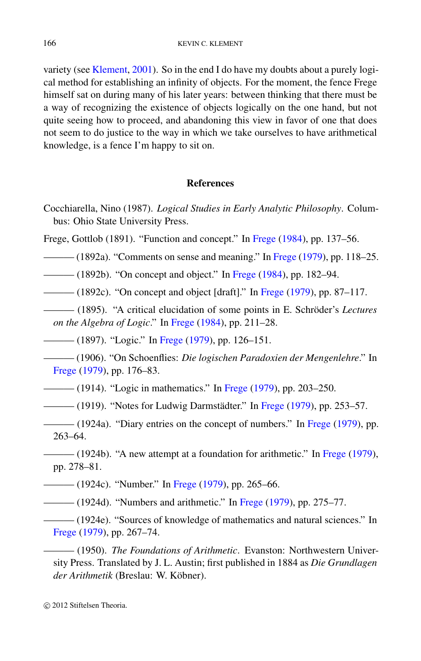variety (see [Klement,](#page-21-7) [2001\)](#page-21-7). So in the end I do have my doubts about a purely logical method for establishing an infinity of objects. For the moment, the fence Frege himself sat on during many of his later years: between thinking that there must be a way of recognizing the existence of objects logically on the one hand, but not quite seeing how to proceed, and abandoning this view in favor of one that does not seem to do justice to the way in which we take ourselves to have arithmetical knowledge, is a fence I'm happy to sit on.

#### **References**

- <span id="page-20-10"></span>Cocchiarella, Nino (1987). *Logical Studies in Early Analytic Philosophy*. Columbus: Ohio State University Press.
- <span id="page-20-5"></span>Frege, Gottlob (1891). "Function and concept." In [Frege](#page-21-8) [\(1984\)](#page-21-8), pp. 137–56.
- <span id="page-20-6"></span>——— (1892a). "Comments on sense and meaning." In [Frege](#page-21-9) [\(1979\)](#page-21-9), pp. 118–25.
- <span id="page-20-4"></span>——— (1892b). "On concept and object." In [Frege](#page-21-8) [\(1984\)](#page-21-8), pp. 182–94.
- <span id="page-20-8"></span>———— (1892c). "On concept and object [draft]." In [Frege](#page-21-9) [\(1979\)](#page-21-9), pp. 87–117.
- <span id="page-20-9"></span>——— (1895). "A critical elucidation of some points in E. Schröder's *Lectures on the Algebra of Logic*." In [Frege](#page-21-8) [\(1984\)](#page-21-8), pp. 211–28.
- <span id="page-20-15"></span>——— (1897). "Logic." In [Frege](#page-21-9) [\(1979\)](#page-21-9), pp. 126–151.
- <span id="page-20-7"></span>——— (1906). "On Schoenflies: *Die logischen Paradoxien der Mengenlehre*." In [Frege](#page-21-9) [\(1979\)](#page-21-9), pp. 176–83.
- <span id="page-20-12"></span>——— (1914). "Logic in mathematics." In [Frege](#page-21-9) [\(1979\)](#page-21-9), pp. 203–250.
- <span id="page-20-13"></span>——— (1919). "Notes for Ludwig Darmstädter." In [Frege](#page-21-9) [\(1979\)](#page-21-9), pp. 253–57.
- <span id="page-20-1"></span>(1924a). "Diary entries on the concept of numbers." In [Frege](#page-21-9) [\(1979\)](#page-21-9), pp. 263–64.
- <span id="page-20-2"></span>—— (1924b). "A new attempt at a foundation for arithmetic." In [Frege](#page-21-9) [\(1979\)](#page-21-9), pp. 278–81.
- <span id="page-20-14"></span><span id="page-20-0"></span>——— (1924c). "Number." In [Frege](#page-21-9) [\(1979\)](#page-21-9), pp. 265–66.
- $\frac{1}{24d}$ . "Numbers and arithmetic." In [Frege](#page-21-9) [\(1979\)](#page-21-9), pp. 275–77.
- <span id="page-20-11"></span>——— (1924e). "Sources of knowledge of mathematics and natural sciences." In [Frege](#page-21-9) [\(1979\)](#page-21-9), pp. 267–74.
- <span id="page-20-3"></span>——— (1950). *The Foundations of Arithmetic*. Evanston: Northwestern University Press. Translated by J. L. Austin; first published in 1884 as *Die Grundlagen der Arithmetik* (Breslau: W. Köbner).